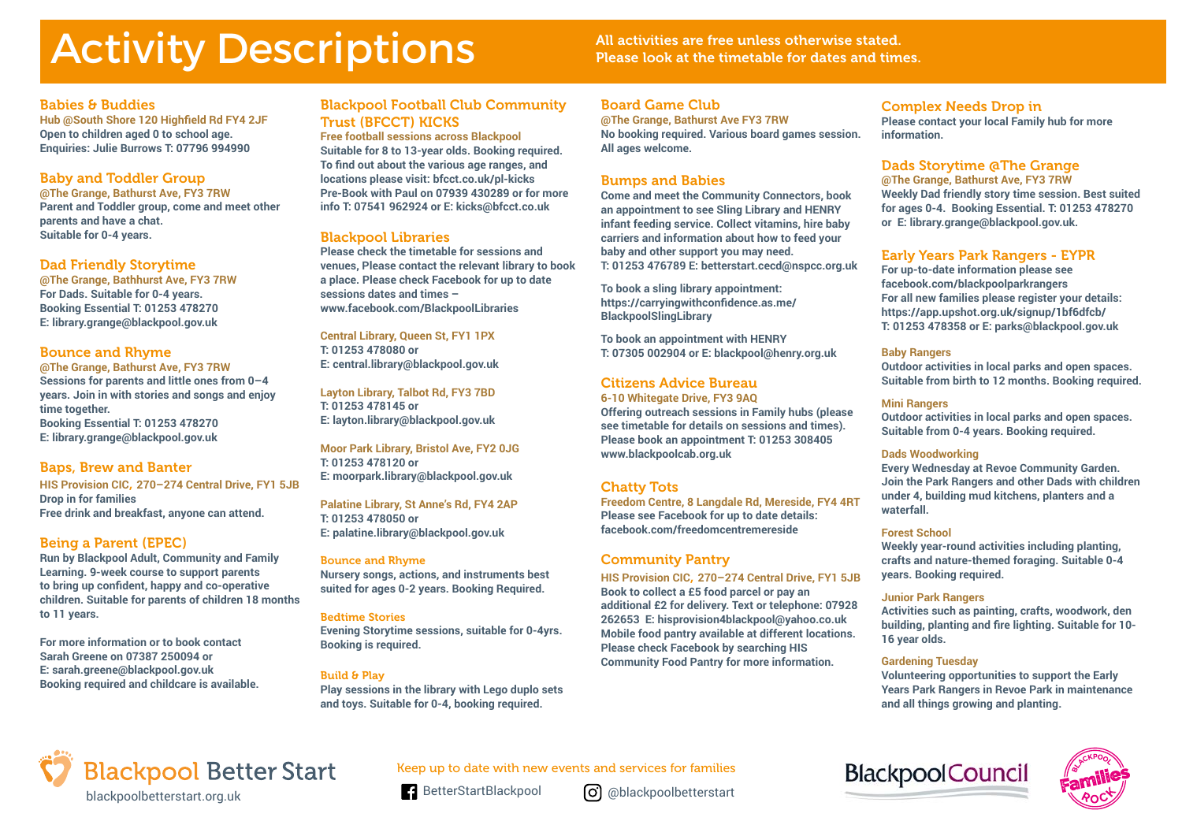# Activity Descriptions All activities are free unless otherwise stated.

Please look at the timetable for dates and times.

# Babies & Buddies

**Hub @South Shore 120 Highfield Rd FY4 2JF Open to children aged 0 to school age. Enquiries: Julie Burrows T: 07796 994990** 

# Baby and Toddler Group

**@The Grange, Bathurst Ave, FY3 7RW Parent and Toddler group, come and meet other parents and have a chat. Suitable for 0-4 years.**

# Dad Friendly Storytime

**@The Grange, Bathhurst Ave, FY3 7RW For Dads. Suitable for 0-4 years. Booking Essential T: 01253 478270 E: library.grange@blackpool.gov.uk**

# Bounce and Rhyme

**@The Grange, Bathurst Ave, FY3 7RW Sessions for parents and little ones from 0–4 years. Join in with stories and songs and enjoy time together. Booking Essential T: 01253 478270 E: library.grange@blackpool.gov.uk**

# Baps, Brew and Banter

**HIS Provision CIC**, **270–274 Central Drive, FY1 5JB Drop in for families Free drink and breakfast, anyone can attend.** 

# Being a Parent (EPEC)

**Run by Blackpool Adult, Community and Family Learning. 9-week course to support parents to bring up confident, happy and co-operative children. Suitable for parents of children 18 months to 11 years.** 

**For more information or to book contact Sarah Greene on 07387 250094 or E: sarah.greene@blackpool.gov.uk Booking required and childcare is available.**

# Blackpool Football Club Community Trust (BFCCT) KICKS

**Free football sessions across Blackpool Suitable for 8 to 13-year olds. Booking required. To find out about the various age ranges, and locations please visit: bfcct.co.uk/pl-kicks Pre-Book with Paul on 07939 430289 or for more info T: 07541 962924 or E: kicks@bfcct.co.uk**

# Blackpool Libraries

**Please check the timetable for sessions and venues, Please contact the relevant library to book a place. Please check Facebook for up to date sessions dates and times – www.facebook.com/BlackpoolLibraries**

**Central Library, Queen St, FY1 1PX T: 01253 478080 or E: central.library@blackpool.gov.uk**

**Layton Library, Talbot Rd, FY3 7BD T: 01253 478145 or E: layton.library@blackpool.gov.uk**

**Moor Park Library, Bristol Ave, FY2 0JG T: 01253 478120 or E: moorpark.library@blackpool.gov.uk**

**Palatine Library, St Anne's Rd, FY4 2AP T: 01253 478050 or E: palatine.library@blackpool.gov.uk**

#### Bounce and Rhyme

**Nursery songs, actions, and instruments best suited for ages 0-2 years. Booking Required.**

#### Bedtime Stories

**Evening Storytime sessions, suitable for 0-4yrs. Booking is required.**

#### Build & Play

**Play sessions in the library with Lego duplo sets and toys. Suitable for 0-4, booking required.**

## Board Game Club

**@The Grange, Bathurst Ave FY3 7RW No booking required. Various board games session. All ages welcome.**

# Bumps and Babies

**Come and meet the Community Connectors, book an appointment to see Sling Library and HENRY infant feeding service. Collect vitamins, hire baby carriers and information about how to feed your baby and other support you may need. T: 01253 476789 E: betterstart.cecd@nspcc.org.uk**

**To book a sling library appointment: https://carryingwithconfidence.as.me/ BlackpoolSlingLibrary**

**To book an appointment with HENRY T: 07305 002904 or E: blackpool@henry.org.uk**

# Citizens Advice Bureau

**6-10 Whitegate Drive, FY3 9AQ Offering outreach sessions in Family hubs (please see timetable for details on sessions and times). Please book an appointment T: 01253 308405 www.blackpoolcab.org.uk**

# Chatty Tots

**Freedom Centre, 8 Langdale Rd, Mereside, FY4 4RT Please see Facebook for up to date details: facebook.com/freedomcentremereside**

# Community Pantry

**HIS Provision CIC**, **270–274 Central Drive, FY1 5JB Book to collect a £5 food parcel or pay an additional £2 for delivery. Text or telephone: 07928 262653 E: hisprovision4blackpool@yahoo.co.uk Mobile food pantry available at different locations. Please check Facebook by searching HIS Community Food Pantry for more information.** 

# Complex Needs Drop in

**Please contact your local Family hub for more information.** 

# Dads Storytime @The Grange

**@The Grange, Bathurst Ave, FY3 7RW Weekly Dad friendly story time session. Best suited for ages 0-4. Booking Essential. T: 01253 478270 or E: library.grange@blackpool.gov.uk.**

# Early Years Park Rangers - EYPR

**For up-to-date information please see facebook.com/blackpoolparkrangers For all new families please register your details: https://app.upshot.org.uk/signup/1bf6dfcb/ T: 01253 478358 or E: parks@blackpool.gov.uk**

#### **Baby Rangers**

**Outdoor activities in local parks and open spaces. Suitable from birth to 12 months. Booking required.**

#### **Mini Rangers**

**Outdoor activities in local parks and open spaces. Suitable from 0-4 years. Booking required.**

#### **Dads Woodworking**

**Every Wednesday at Revoe Community Garden. Join the Park Rangers and other Dads with children under 4, building mud kitchens, planters and a waterfall.** 

#### **Forest School**

**Weekly year-round activities including planting, crafts and nature-themed foraging. Suitable 0-4 years. Booking required.**

#### **Junior Park Rangers**

**Activities such as painting, crafts, woodwork, den building, planting and fire lighting. Suitable for 10- 16 year olds.** 

#### **Gardening Tuesday**

**Volunteering opportunities to support the Early Years Park Rangers in Revoe Park in maintenance and all things growing and planting.**



Keep up to date with new events and services for families